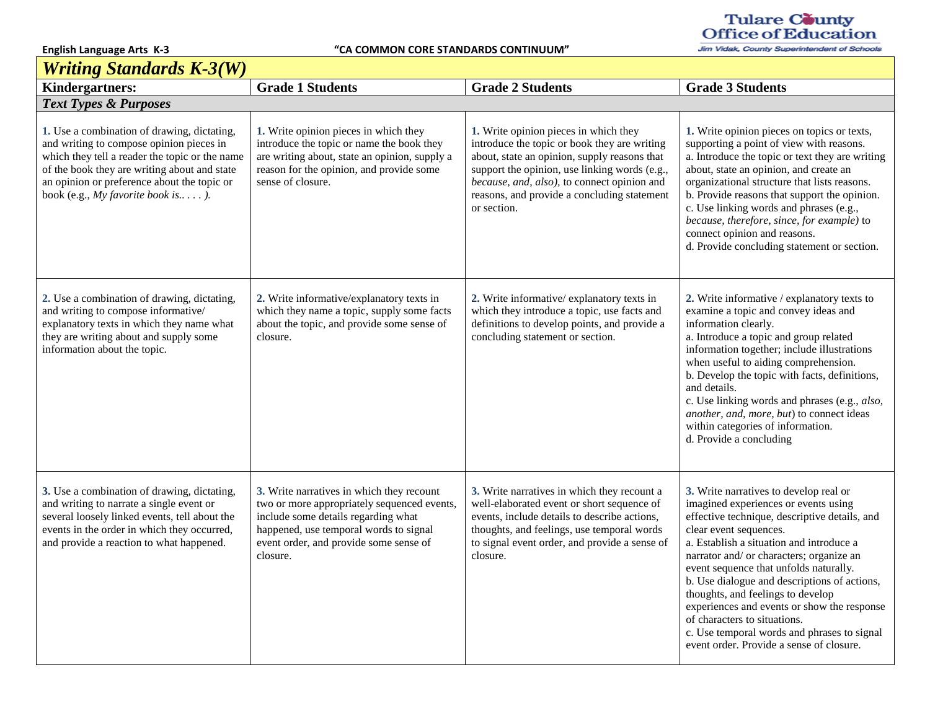$\mathbf{r}$ 

**English Language Arts K-3 "CA COMMON CORE STANDARDS CONTINUUM"**

## Tulare County<br>Office of Education

Jim Vidak, County Superintendent of Schools

| <b>Writing Standards K-3(W)</b>                                                                                                                                                                                                                                               |                                                                                                                                                                                                                                 |                                                                                                                                                                                                                                                                                                     |                                                                                                                                                                                                                                                                                                                                                                                                                                                                                                                                                            |  |  |
|-------------------------------------------------------------------------------------------------------------------------------------------------------------------------------------------------------------------------------------------------------------------------------|---------------------------------------------------------------------------------------------------------------------------------------------------------------------------------------------------------------------------------|-----------------------------------------------------------------------------------------------------------------------------------------------------------------------------------------------------------------------------------------------------------------------------------------------------|------------------------------------------------------------------------------------------------------------------------------------------------------------------------------------------------------------------------------------------------------------------------------------------------------------------------------------------------------------------------------------------------------------------------------------------------------------------------------------------------------------------------------------------------------------|--|--|
| <b>Kindergartners:</b>                                                                                                                                                                                                                                                        | <b>Grade 1 Students</b>                                                                                                                                                                                                         | <b>Grade 2 Students</b>                                                                                                                                                                                                                                                                             | <b>Grade 3 Students</b>                                                                                                                                                                                                                                                                                                                                                                                                                                                                                                                                    |  |  |
| <b>Text Types &amp; Purposes</b>                                                                                                                                                                                                                                              |                                                                                                                                                                                                                                 |                                                                                                                                                                                                                                                                                                     |                                                                                                                                                                                                                                                                                                                                                                                                                                                                                                                                                            |  |  |
| 1. Use a combination of drawing, dictating,<br>and writing to compose opinion pieces in<br>which they tell a reader the topic or the name<br>of the book they are writing about and state<br>an opinion or preference about the topic or<br>book (e.g., My favorite book is). | 1. Write opinion pieces in which they<br>introduce the topic or name the book they<br>are writing about, state an opinion, supply a<br>reason for the opinion, and provide some<br>sense of closure.                            | 1. Write opinion pieces in which they<br>introduce the topic or book they are writing<br>about, state an opinion, supply reasons that<br>support the opinion, use linking words (e.g.,<br>because, and, also), to connect opinion and<br>reasons, and provide a concluding statement<br>or section. | 1. Write opinion pieces on topics or texts,<br>supporting a point of view with reasons.<br>a. Introduce the topic or text they are writing<br>about, state an opinion, and create an<br>organizational structure that lists reasons.<br>b. Provide reasons that support the opinion.<br>c. Use linking words and phrases (e.g.,<br>because, therefore, since, for example) to<br>connect opinion and reasons.<br>d. Provide concluding statement or section.                                                                                               |  |  |
| 2. Use a combination of drawing, dictating,<br>and writing to compose informative/<br>explanatory texts in which they name what<br>they are writing about and supply some<br>information about the topic.                                                                     | 2. Write informative/explanatory texts in<br>which they name a topic, supply some facts<br>about the topic, and provide some sense of<br>closure.                                                                               | 2. Write informative/explanatory texts in<br>which they introduce a topic, use facts and<br>definitions to develop points, and provide a<br>concluding statement or section.                                                                                                                        | 2. Write informative / explanatory texts to<br>examine a topic and convey ideas and<br>information clearly.<br>a. Introduce a topic and group related<br>information together; include illustrations<br>when useful to aiding comprehension.<br>b. Develop the topic with facts, definitions,<br>and details.<br>c. Use linking words and phrases (e.g., also,<br>another, and, more, but) to connect ideas<br>within categories of information.<br>d. Provide a concluding                                                                                |  |  |
| 3. Use a combination of drawing, dictating,<br>and writing to narrate a single event or<br>several loosely linked events, tell about the<br>events in the order in which they occurred,<br>and provide a reaction to what happened.                                           | 3. Write narratives in which they recount<br>two or more appropriately sequenced events,<br>include some details regarding what<br>happened, use temporal words to signal<br>event order, and provide some sense of<br>closure. | 3. Write narratives in which they recount a<br>well-elaborated event or short sequence of<br>events, include details to describe actions,<br>thoughts, and feelings, use temporal words<br>to signal event order, and provide a sense of<br>closure.                                                | 3. Write narratives to develop real or<br>imagined experiences or events using<br>effective technique, descriptive details, and<br>clear event sequences.<br>a. Establish a situation and introduce a<br>narrator and/ or characters; organize an<br>event sequence that unfolds naturally.<br>b. Use dialogue and descriptions of actions,<br>thoughts, and feelings to develop<br>experiences and events or show the response<br>of characters to situations.<br>c. Use temporal words and phrases to signal<br>event order. Provide a sense of closure. |  |  |